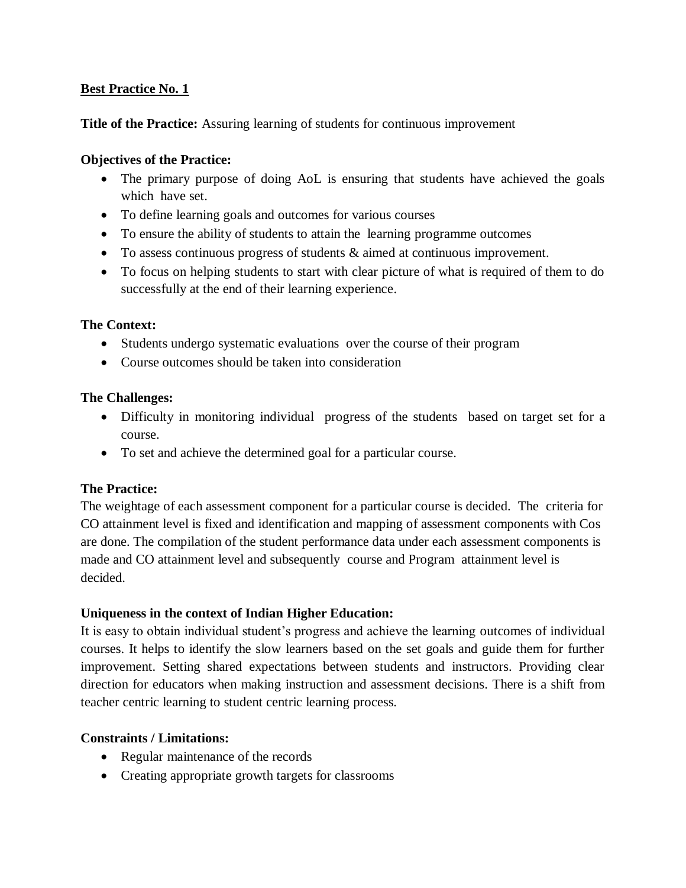# **Best Practice No. 1**

## **Title of the Practice:** Assuring learning of students for continuous improvement

## **Objectives of the Practice:**

- The primary purpose of doing AoL is ensuring that students have achieved the goals which have set.
- To define learning goals and outcomes for various courses
- To ensure the ability of students to attain the learning programme outcomes
- To assess continuous progress of students & aimed at continuous improvement.
- To focus on helping students to start with clear picture of what is required of them to do successfully at the end of their learning experience.

## **The Context:**

- Students undergo systematic evaluations over the course of their program
- Course outcomes should be taken into consideration

## **The Challenges:**

- Difficulty in monitoring individual progress of the students based on target set for a course.
- To set and achieve the determined goal for a particular course.

# **The Practice:**

The weightage of each assessment component for a particular course is decided. The criteria for CO attainment level is fixed and identification and mapping of assessment components with Cos are done. The compilation of the student performance data under each assessment components is made and CO attainment level and subsequently course and Program attainment level is decided.

# **Uniqueness in the context of Indian Higher Education:**

It is easy to obtain individual student's progress and achieve the learning outcomes of individual courses. It helps to identify the slow learners based on the set goals and guide them for further improvement. Setting shared expectations between students and instructors. Providing clear direction for educators when making instruction and assessment decisions. There is a shift from teacher centric learning to student centric learning process.

# **Constraints / Limitations:**

- Regular maintenance of the records
- Creating appropriate growth targets for classrooms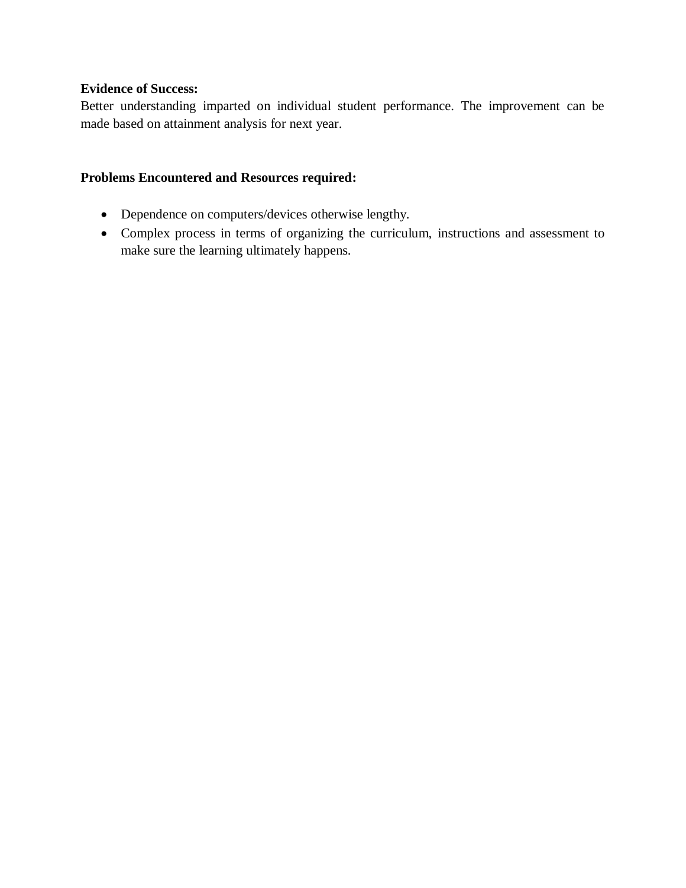# **Evidence of Success:**

Better understanding imparted on individual student performance. The improvement can be made based on attainment analysis for next year.

# **Problems Encountered and Resources required:**

- Dependence on computers/devices otherwise lengthy.
- Complex process in terms of organizing the curriculum, instructions and assessment to make sure the learning ultimately happens.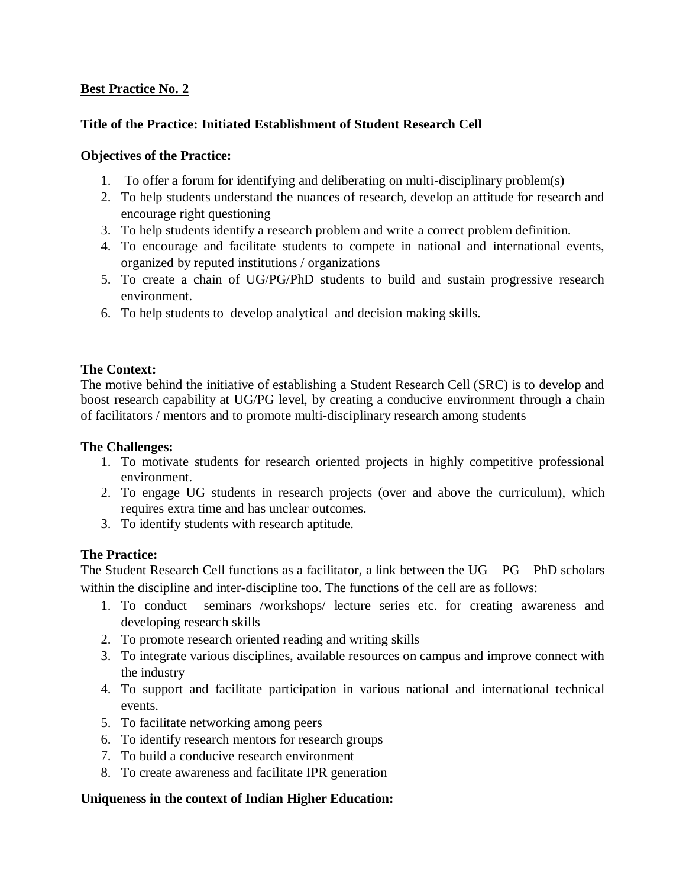# **Best Practice No. 2**

# **Title of the Practice: Initiated Establishment of Student Research Cell**

## **Objectives of the Practice:**

- 1. To offer a forum for identifying and deliberating on multi-disciplinary problem(s)
- 2. To help students understand the nuances of research, develop an attitude for research and encourage right questioning
- 3. To help students identify a research problem and write a correct problem definition.
- 4. To encourage and facilitate students to compete in national and international events, organized by reputed institutions / organizations
- 5. To create a chain of UG/PG/PhD students to build and sustain progressive research environment.
- 6. To help students to develop analytical and decision making skills.

## **The Context:**

The motive behind the initiative of establishing a Student Research Cell (SRC) is to develop and boost research capability at UG/PG level, by creating a conducive environment through a chain of facilitators / mentors and to promote multi-disciplinary research among students

#### **The Challenges:**

- 1. To motivate students for research oriented projects in highly competitive professional environment.
- 2. To engage UG students in research projects (over and above the curriculum), which requires extra time and has unclear outcomes.
- 3. To identify students with research aptitude.

# **The Practice:**

The Student Research Cell functions as a facilitator, a link between the  $UG - PG - PhD$  scholars within the discipline and inter-discipline too. The functions of the cell are as follows:

- 1. To conduct seminars /workshops/ lecture series etc. for creating awareness and developing research skills
- 2. To promote research oriented reading and writing skills
- 3. To integrate various disciplines, available resources on campus and improve connect with the industry
- 4. To support and facilitate participation in various national and international technical events.
- 5. To facilitate networking among peers
- 6. To identify research mentors for research groups
- 7. To build a conducive research environment
- 8. To create awareness and facilitate IPR generation

# **Uniqueness in the context of Indian Higher Education:**